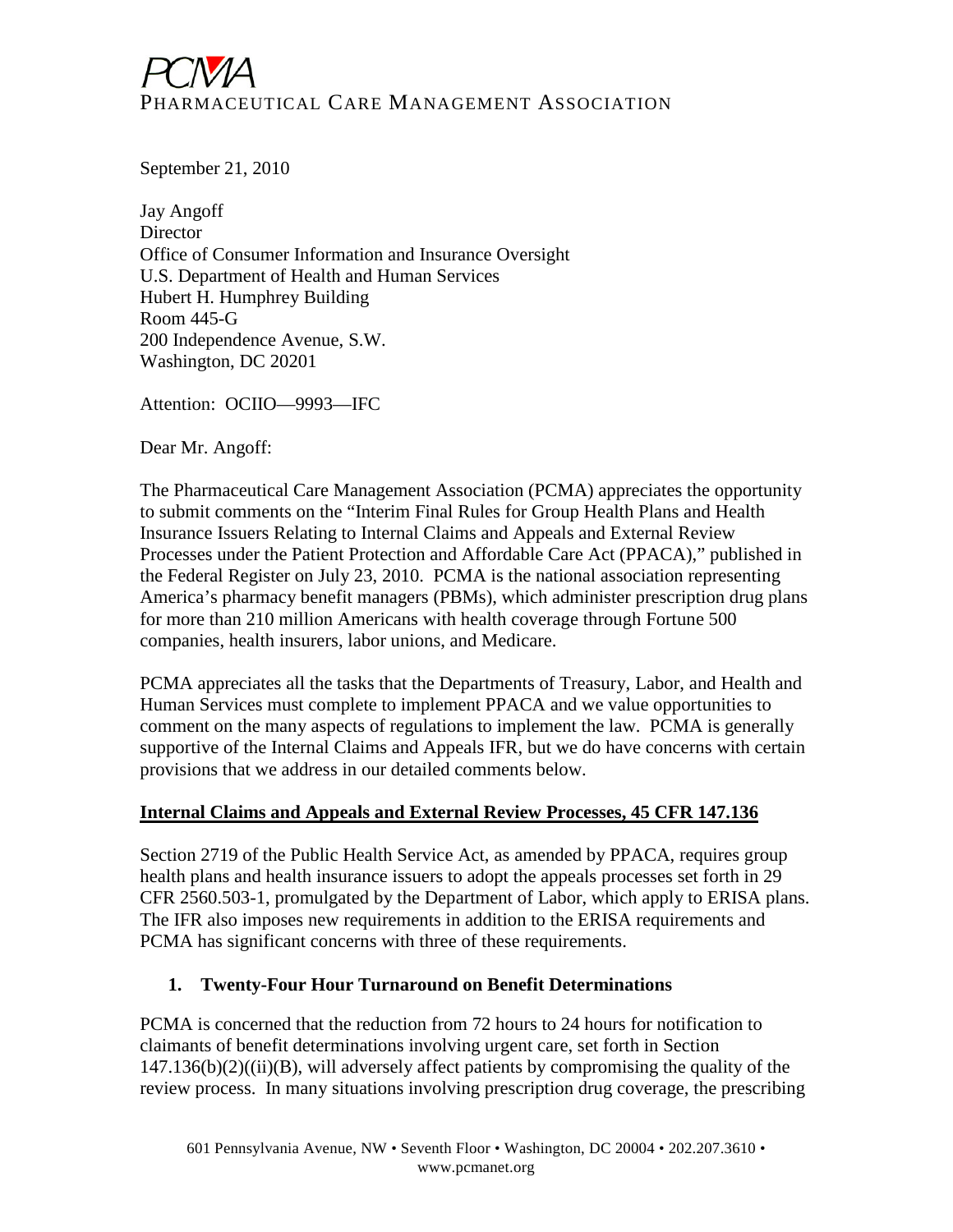# PHARMACEUTICAL CARE MANAGEMENT ASSOCIATION

September 21, 2010

Jay Angoff **Director** Office of Consumer Information and Insurance Oversight U.S. Department of Health and Human Services Hubert H. Humphrey Building Room 445-G 200 Independence Avenue, S.W. Washington, DC 20201

Attention: OCIIO—9993—IFC

Dear Mr. Angoff:

The Pharmaceutical Care Management Association (PCMA) appreciates the opportunity to submit comments on the "Interim Final Rules for Group Health Plans and Health Insurance Issuers Relating to Internal Claims and Appeals and External Review Processes under the Patient Protection and Affordable Care Act (PPACA)," published in the Federal Register on July 23, 2010. PCMA is the national association representing America's pharmacy benefit managers (PBMs), which administer prescription drug plans for more than 210 million Americans with health coverage through Fortune 500 companies, health insurers, labor unions, and Medicare.

PCMA appreciates all the tasks that the Departments of Treasury, Labor, and Health and Human Services must complete to implement PPACA and we value opportunities to comment on the many aspects of regulations to implement the law. PCMA is generally supportive of the Internal Claims and Appeals IFR, but we do have concerns with certain provisions that we address in our detailed comments below.

### **Internal Claims and Appeals and External Review Processes, 45 CFR 147.136**

Section 2719 of the Public Health Service Act, as amended by PPACA, requires group health plans and health insurance issuers to adopt the appeals processes set forth in 29 CFR 2560.503-1, promulgated by the Department of Labor, which apply to ERISA plans. The IFR also imposes new requirements in addition to the ERISA requirements and PCMA has significant concerns with three of these requirements.

### **1. Twenty-Four Hour Turnaround on Benefit Determinations**

PCMA is concerned that the reduction from 72 hours to 24 hours for notification to claimants of benefit determinations involving urgent care, set forth in Section  $147.136(b)(2)((ii)(B))$ , will adversely affect patients by compromising the quality of the review process. In many situations involving prescription drug coverage, the prescribing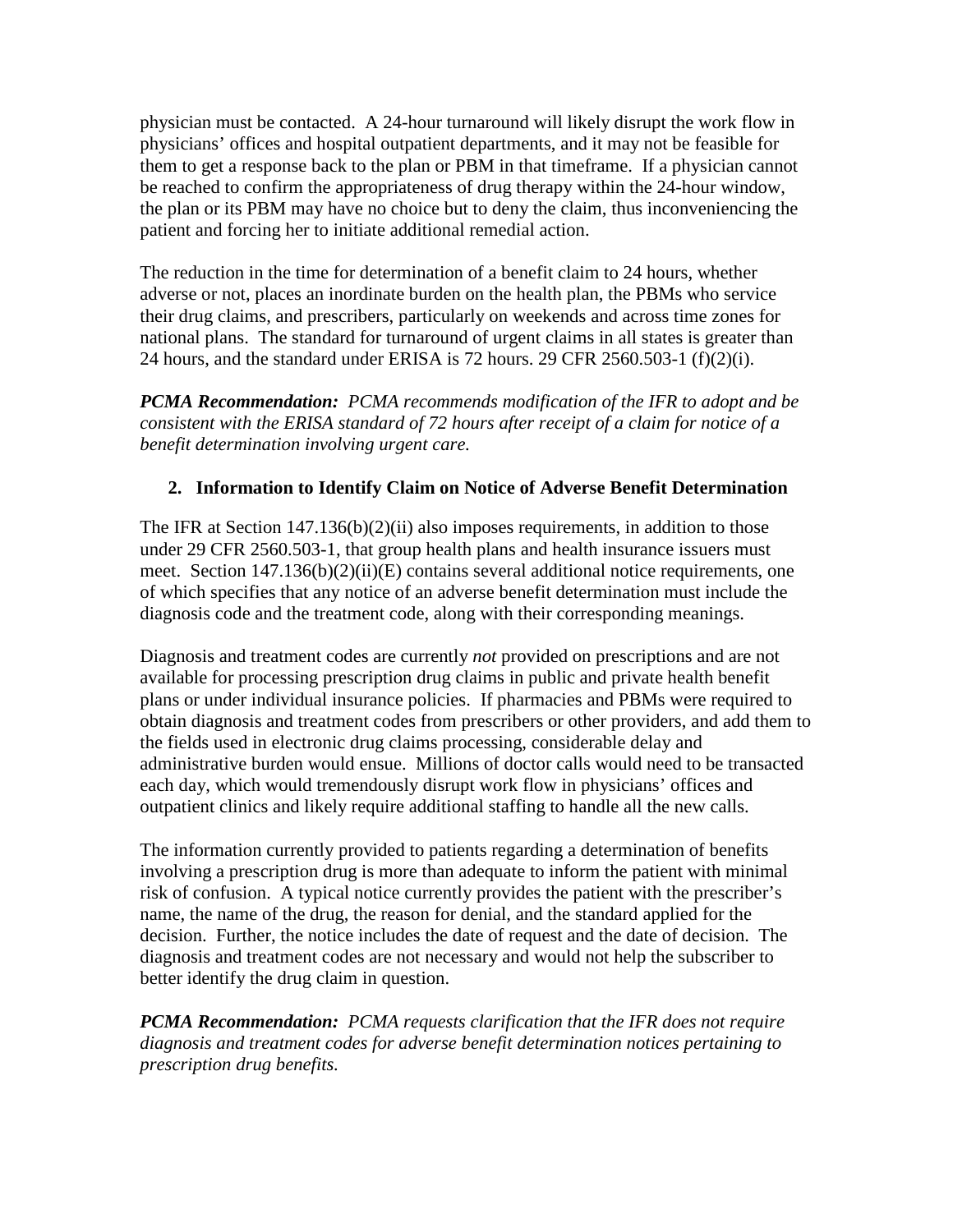physician must be contacted. A 24-hour turnaround will likely disrupt the work flow in physicians' offices and hospital outpatient departments, and it may not be feasible for them to get a response back to the plan or PBM in that timeframe. If a physician cannot be reached to confirm the appropriateness of drug therapy within the 24-hour window, the plan or its PBM may have no choice but to deny the claim, thus inconveniencing the patient and forcing her to initiate additional remedial action.

The reduction in the time for determination of a benefit claim to 24 hours, whether adverse or not, places an inordinate burden on the health plan, the PBMs who service their drug claims, and prescribers, particularly on weekends and across time zones for national plans. The standard for turnaround of urgent claims in all states is greater than 24 hours, and the standard under ERISA is 72 hours. 29 CFR 2560.503-1 (f)(2)(i).

*PCMA Recommendation: PCMA recommends modification of the IFR to adopt and be consistent with the ERISA standard of 72 hours after receipt of a claim for notice of a benefit determination involving urgent care.* 

# **2. Information to Identify Claim on Notice of Adverse Benefit Determination**

The IFR at Section 147.136(b)(2)(ii) also imposes requirements, in addition to those under 29 CFR 2560.503-1, that group health plans and health insurance issuers must meet. Section 147.136(b)(2)(ii)(E) contains several additional notice requirements, one of which specifies that any notice of an adverse benefit determination must include the diagnosis code and the treatment code, along with their corresponding meanings.

Diagnosis and treatment codes are currently *not* provided on prescriptions and are not available for processing prescription drug claims in public and private health benefit plans or under individual insurance policies. If pharmacies and PBMs were required to obtain diagnosis and treatment codes from prescribers or other providers, and add them to the fields used in electronic drug claims processing, considerable delay and administrative burden would ensue. Millions of doctor calls would need to be transacted each day, which would tremendously disrupt work flow in physicians' offices and outpatient clinics and likely require additional staffing to handle all the new calls.

The information currently provided to patients regarding a determination of benefits involving a prescription drug is more than adequate to inform the patient with minimal risk of confusion. A typical notice currently provides the patient with the prescriber's name, the name of the drug, the reason for denial, and the standard applied for the decision. Further, the notice includes the date of request and the date of decision. The diagnosis and treatment codes are not necessary and would not help the subscriber to better identify the drug claim in question.

*PCMA Recommendation: PCMA requests clarification that the IFR does not require diagnosis and treatment codes for adverse benefit determination notices pertaining to prescription drug benefits.*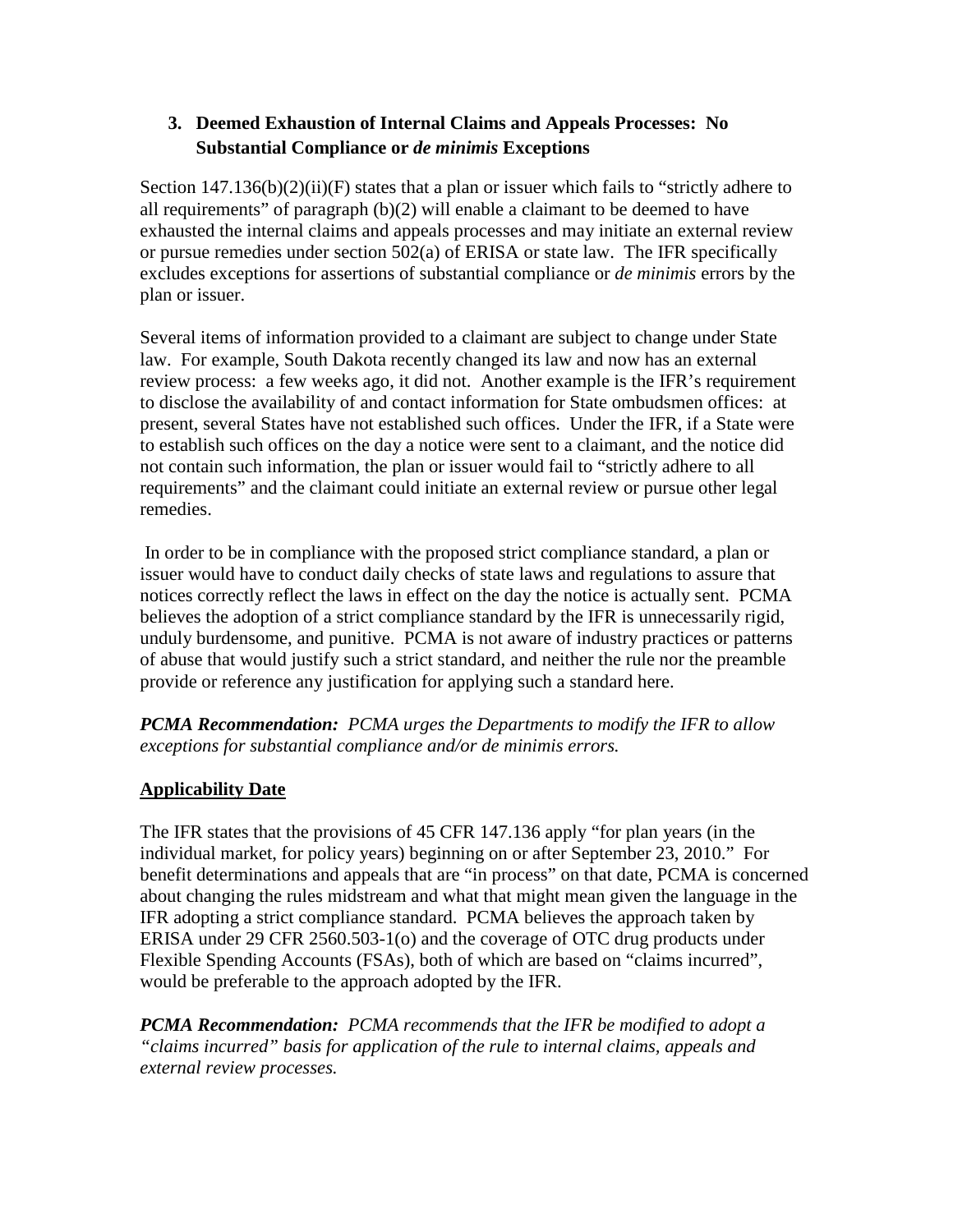## **3. Deemed Exhaustion of Internal Claims and Appeals Processes: No Substantial Compliance or** *de minimis* **Exceptions**

Section  $147.136(b)(2)(ii)(F)$  states that a plan or issuer which fails to "strictly adhere to all requirements" of paragraph (b)(2) will enable a claimant to be deemed to have exhausted the internal claims and appeals processes and may initiate an external review or pursue remedies under section 502(a) of ERISA or state law. The IFR specifically excludes exceptions for assertions of substantial compliance or *de minimis* errors by the plan or issuer.

Several items of information provided to a claimant are subject to change under State law. For example, South Dakota recently changed its law and now has an external review process: a few weeks ago, it did not. Another example is the IFR's requirement to disclose the availability of and contact information for State ombudsmen offices: at present, several States have not established such offices. Under the IFR, if a State were to establish such offices on the day a notice were sent to a claimant, and the notice did not contain such information, the plan or issuer would fail to "strictly adhere to all requirements" and the claimant could initiate an external review or pursue other legal remedies.

In order to be in compliance with the proposed strict compliance standard, a plan or issuer would have to conduct daily checks of state laws and regulations to assure that notices correctly reflect the laws in effect on the day the notice is actually sent. PCMA believes the adoption of a strict compliance standard by the IFR is unnecessarily rigid, unduly burdensome, and punitive. PCMA is not aware of industry practices or patterns of abuse that would justify such a strict standard, and neither the rule nor the preamble provide or reference any justification for applying such a standard here.

*PCMA Recommendation: PCMA urges the Departments to modify the IFR to allow exceptions for substantial compliance and/or de minimis errors.*

# **Applicability Date**

The IFR states that the provisions of 45 CFR 147.136 apply "for plan years (in the individual market, for policy years) beginning on or after September 23, 2010." For benefit determinations and appeals that are "in process" on that date, PCMA is concerned about changing the rules midstream and what that might mean given the language in the IFR adopting a strict compliance standard. PCMA believes the approach taken by ERISA under 29 CFR 2560.503-1(o) and the coverage of OTC drug products under Flexible Spending Accounts (FSAs), both of which are based on "claims incurred", would be preferable to the approach adopted by the IFR.

*PCMA Recommendation: PCMA recommends that the IFR be modified to adopt a "claims incurred" basis for application of the rule to internal claims, appeals and external review processes.*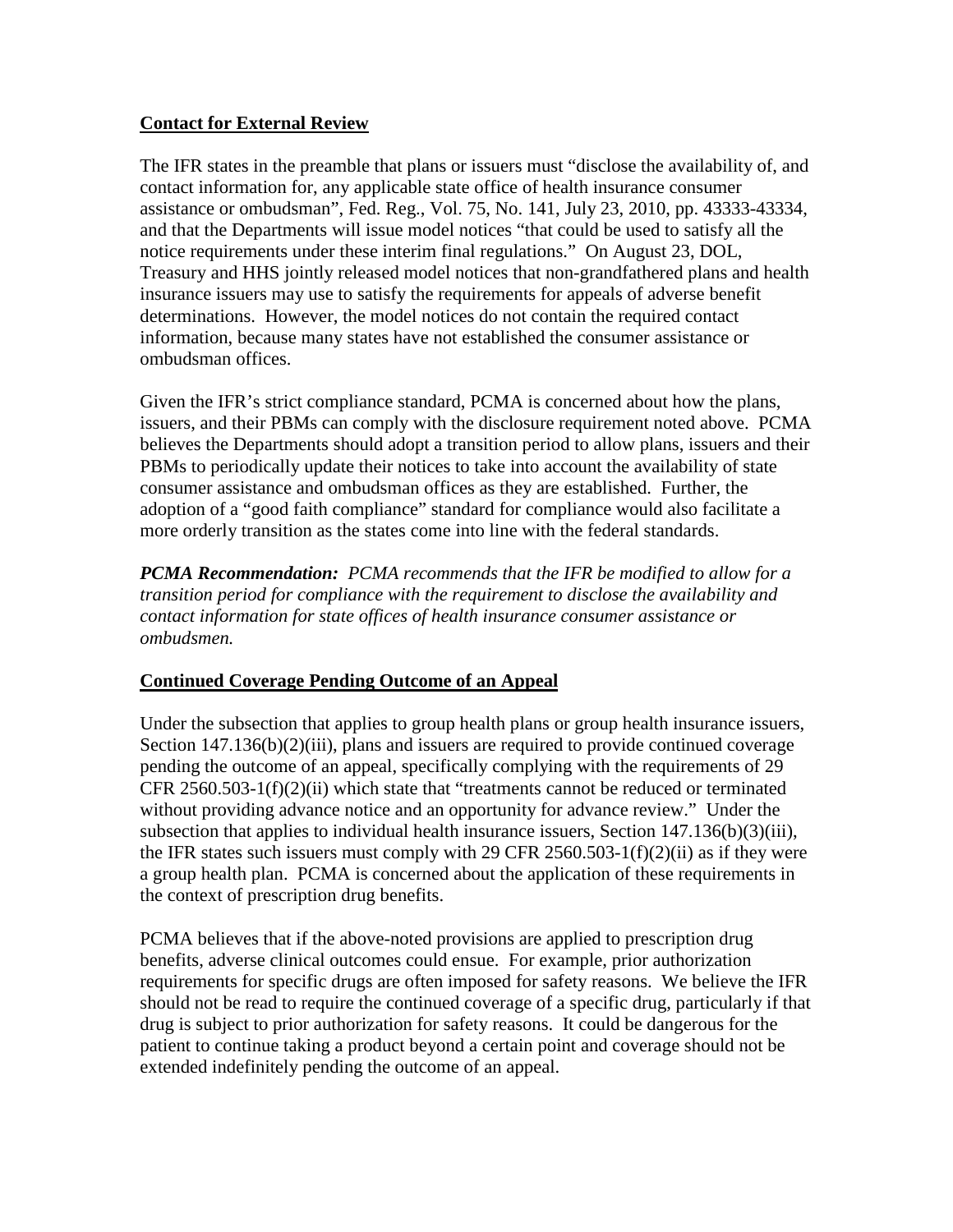## **Contact for External Review**

The IFR states in the preamble that plans or issuers must "disclose the availability of, and contact information for, any applicable state office of health insurance consumer assistance or ombudsman", Fed. Reg., Vol. 75, No. 141, July 23, 2010, pp. 43333-43334, and that the Departments will issue model notices "that could be used to satisfy all the notice requirements under these interim final regulations." On August 23, DOL, Treasury and HHS jointly released model notices that non-grandfathered plans and health insurance issuers may use to satisfy the requirements for appeals of adverse benefit determinations. However, the model notices do not contain the required contact information, because many states have not established the consumer assistance or ombudsman offices.

Given the IFR's strict compliance standard, PCMA is concerned about how the plans, issuers, and their PBMs can comply with the disclosure requirement noted above. PCMA believes the Departments should adopt a transition period to allow plans, issuers and their PBMs to periodically update their notices to take into account the availability of state consumer assistance and ombudsman offices as they are established. Further, the adoption of a "good faith compliance" standard for compliance would also facilitate a more orderly transition as the states come into line with the federal standards.

*PCMA Recommendation: PCMA recommends that the IFR be modified to allow for a transition period for compliance with the requirement to disclose the availability and contact information for state offices of health insurance consumer assistance or ombudsmen.* 

### **Continued Coverage Pending Outcome of an Appeal**

Under the subsection that applies to group health plans or group health insurance issuers, Section 147.136(b)(2)(iii), plans and issuers are required to provide continued coverage pending the outcome of an appeal, specifically complying with the requirements of 29 CFR 2560.503-1(f)(2)(ii) which state that "treatments cannot be reduced or terminated without providing advance notice and an opportunity for advance review." Under the subsection that applies to individual health insurance issuers, Section 147.136(b)(3)(iii), the IFR states such issuers must comply with 29 CFR 2560.503-1(f)(2)(ii) as if they were a group health plan. PCMA is concerned about the application of these requirements in the context of prescription drug benefits.

PCMA believes that if the above-noted provisions are applied to prescription drug benefits, adverse clinical outcomes could ensue. For example, prior authorization requirements for specific drugs are often imposed for safety reasons. We believe the IFR should not be read to require the continued coverage of a specific drug, particularly if that drug is subject to prior authorization for safety reasons. It could be dangerous for the patient to continue taking a product beyond a certain point and coverage should not be extended indefinitely pending the outcome of an appeal.